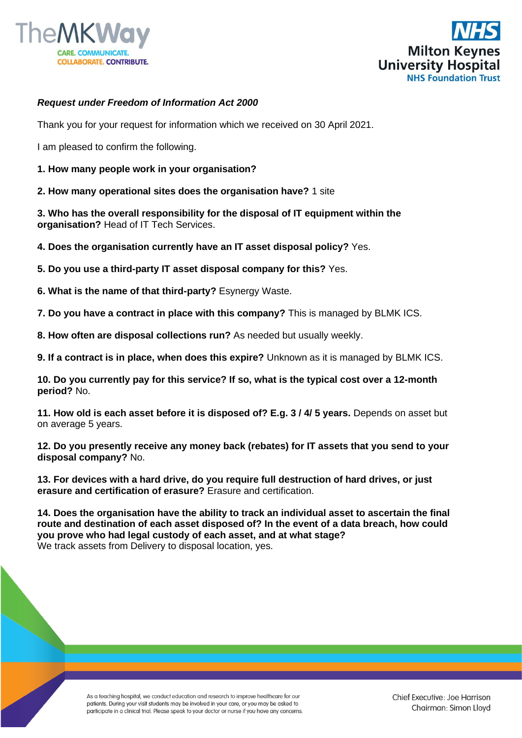



## *Request under Freedom of Information Act 2000*

Thank you for your request for information which we received on 30 April 2021.

I am pleased to confirm the following.

**1. How many people work in your organisation?**

**2. How many operational sites does the organisation have?** 1 site

**3. Who has the overall responsibility for the disposal of IT equipment within the organisation?** Head of IT Tech Services.

**4. Does the organisation currently have an IT asset disposal policy?** Yes.

**5. Do you use a third-party IT asset disposal company for this?** Yes.

**6. What is the name of that third-party?** Esynergy Waste.

**7. Do you have a contract in place with this company?** This is managed by BLMK ICS.

**8. How often are disposal collections run?** As needed but usually weekly.

**9. If a contract is in place, when does this expire?** Unknown as it is managed by BLMK ICS.

**10. Do you currently pay for this service? If so, what is the typical cost over a 12-month period?** No.

**11. How old is each asset before it is disposed of? E.g. 3 / 4/ 5 years.** Depends on asset but on average 5 years.

**12. Do you presently receive any money back (rebates) for IT assets that you send to your disposal company?** No.

**13. For devices with a hard drive, do you require full destruction of hard drives, or just erasure and certification of erasure?** Erasure and certification.

**14. Does the organisation have the ability to track an individual asset to ascertain the final route and destination of each asset disposed of? In the event of a data breach, how could you prove who had legal custody of each asset, and at what stage?**  We track assets from Delivery to disposal location, yes.

> As a teaching hospital, we conduct education and research to improve healthcare for our patients. During your visit students may be involved in your care, or you may be asked to participate in a clinical trial. Please speak to your doctor or nurse if you have any concerns.

Chief Executive: Joe Harrison Chairman: Simon Lloyd